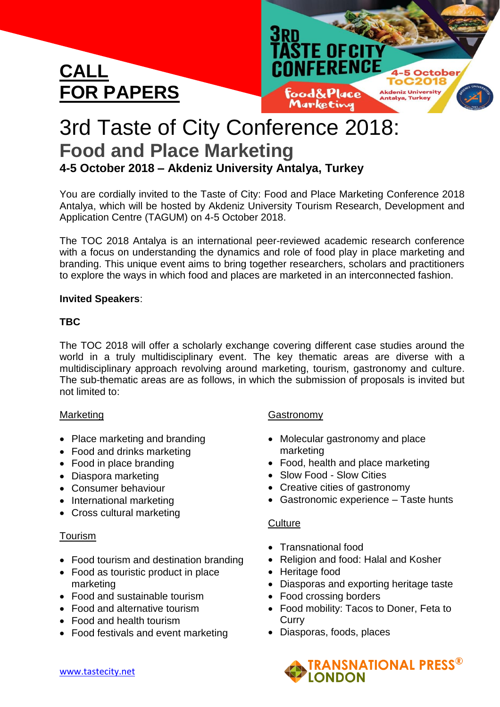



# 3rd Taste of City Conference 2018: **Food and Place Marketing 4-5 October 2018 – Akdeniz University Antalya, Turkey**

You are cordially invited to the Taste of City: Food and Place Marketing Conference 2018 Antalya, which will be hosted by Akdeniz University Tourism Research, Development and Application Centre (TAGUM) on 4-5 October 2018.

The TOC 2018 Antalya is an international peer-reviewed academic research conference with a focus on understanding the dynamics and role of food play in place marketing and branding. This unique event aims to bring together researchers, scholars and practitioners to explore the ways in which food and places are marketed in an interconnected fashion.

### **Invited Speakers**:

### **TBC**

The TOC 2018 will offer a scholarly exchange covering different case studies around the world in a truly multidisciplinary event. The key thematic areas are diverse with a multidisciplinary approach revolving around marketing, tourism, gastronomy and culture. The sub-thematic areas are as follows, in which the submission of proposals is invited but not limited to:

### **Marketing**

- Place marketing and branding
- Food and drinks marketing
- Food in place branding
- Diaspora marketing
- Consumer behaviour
- International marketing
- Cross cultural marketing

### Tourism

- Food tourism and destination branding
- Food as touristic product in place marketing
- Food and sustainable tourism
- Food and alternative tourism
- Food and health tourism
- Food festivals and event marketing

### **Gastronomy**

- Molecular gastronomy and place marketing
- Food, health and place marketing
- Slow Food Slow Cities
- Creative cities of gastronomy
- Gastronomic experience Taste hunts

## **Culture**

- Transnational food
- Religion and food: Halal and Kosher
- Heritage food
- Diasporas and exporting heritage taste
- Food crossing borders
- Food mobility: Tacos to Doner, Feta to **Curry**
- Diasporas, foods, places

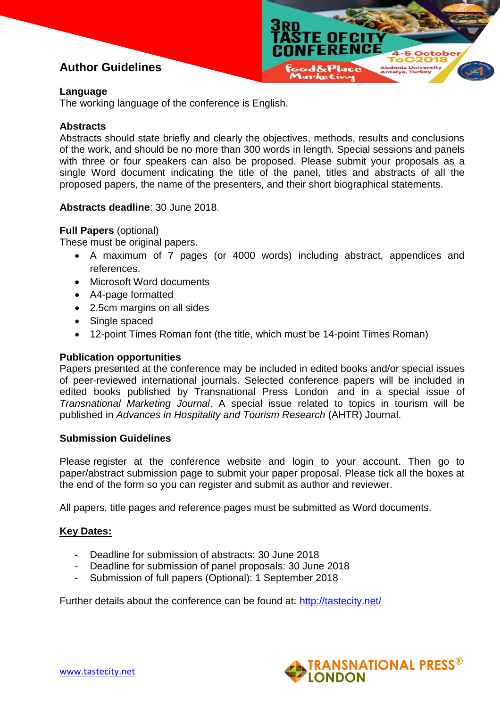# **Author Guidelines**

#### **Language**

The working language of the conference is English.

#### **Abstracts**

Abstracts should state briefly and clearly the objectives, methods, results and conclusions of the work, and should be no more than 300 words in length. Special sessions and panels with three or four speakers can also be proposed. Please submit your proposals as a single Word document indicating the title of the panel, titles and abstracts of all the proposed papers, the name of the presenters, and their short biographical statements.

**TE OF CI** CONFERENCE

 $1-5$  O

#### **Abstracts deadline**: 30 June 2018.

#### **Full Papers** (optional)

These must be original papers.

- A maximum of 7 pages (or 4000 words) including abstract, appendices and references.
- Microsoft Word documents
- A4-page formatted
- 2.5cm margins on all sides
- Single spaced
- 12-point Times Roman font (the title, which must be 14-point Times Roman)

#### **Publication opportunities**

Papers presented at the conference may be included in edited books and/or special issues of peer-reviewed international journals. Selected conference papers will be included in edited books published by [Transnational](http://tplondon.com/books) Press London and in a special issue of *Transnational Marketing Journal*. A special issue related to topics in tourism will be published in *Advances in Hospitality and Tourism Research* (AHTR) Journal.

#### **Submission Guidelines**

Please register at the conference website and [login to your account.](http://tastecity.net/toc/index.php/2016/toc) Then go to paper/abstract [submission page](http://tastecity.net/toc/index.php/2016/toc/author) to submit your paper proposal. Please tick all the boxes at the end of the form so you can register and submit as author and reviewer.

All papers, title pages and reference pages must be submitted as Word documents.

### **Key Dates:**

- Deadline for submission of abstracts: 30 June 2018
- Deadline for submission of panel proposals: 30 June 2018
- Submission of full papers (Optional): 1 September 2018

Further details about the conference can be found at: <http://tastecity.net/>